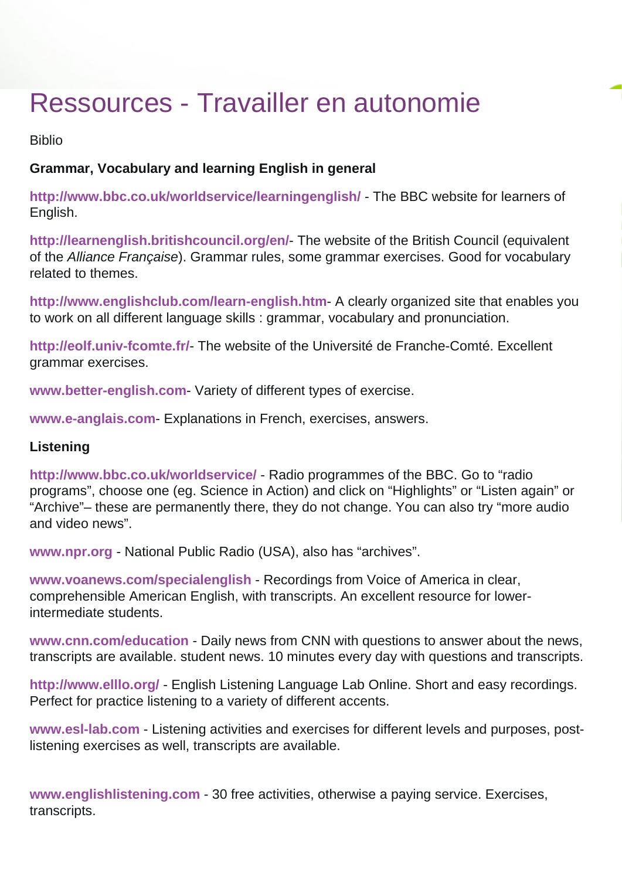# Ressources - Travailler en autonomie

Biblio

# **Grammar, Vocabulary and learning English in general**

**<http://www.bbc.co.uk/worldservice/learningenglish/>** - The BBC website for learners of English.

**<http://learnenglish.britishcouncil.org/en/>**- The website of the British Council (equivalent of the Alliance Française). Grammar rules, some grammar exercises. Good for vocabulary related to themes.

**<http://www.englishclub.com/learn-english.htm>**- A clearly organized site that enables you to work on all different language skills : grammar, vocabulary and pronunciation.

**<http://eolf.univ-fcomte.fr/>**- The website of the Université de Franche-Comté. Excellent grammar exercises.

**[www.better-english.com](http://www.better-english.com/)**- Variety of different types of exercise.

**[www.e-anglais.com](http://www.e-anglais.com/)**- Explanations in French, exercises, answers.

# **Listening**

**<http://www.bbc.co.uk/worldservice/>**- Radio programmes of the BBC. Go to "radio programs", choose one (eg. Science in Action) and click on "Highlights" or "Listen again" or "Archive"– these are permanently there, they do not change. You can also try "more audio and video news".

**[www.npr.org](http://www.npr.org/)** - National Public Radio (USA), also has "archives".

**[www.voanews.com/specialenglish](http://www.voanews.com/specialenglish)** - Recordings from Voice of America in clear, comprehensible American English, with transcripts. An excellent resource for lowerintermediate students.

**[www.cnn.com/education](http://www.cnn.com/EDUCATION/)** - Daily news from CNN with questions to answer about the news, transcripts are available. student news. 10 minutes every day with questions and transcripts.

**<http://www.elllo.org/>** - English Listening Language Lab Online. Short and easy recordings. Perfect for practice listening to a variety of different accents.

**[www.esl-lab.com](http://www.esl-lab.com/)** - Listening activities and exercises for different levels and purposes, postlistening exercises as well, transcripts are available.

**[www.englishlistening.com](http://www.englishlistening.com/)** - 30 free activities, otherwise a paying service. Exercises, transcripts.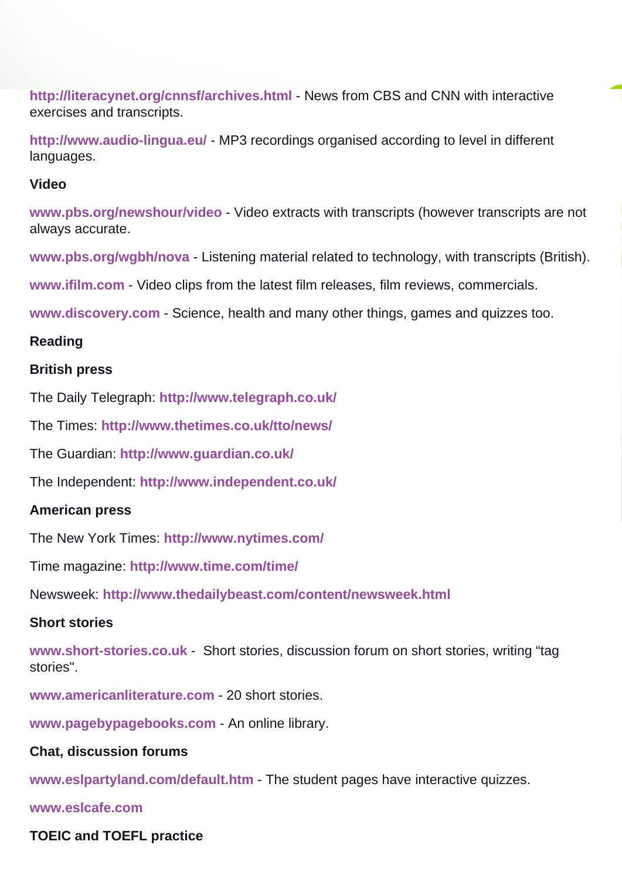**<http://literacynet.org/cnnsf/archives.html>** - News from CBS and CNN with interactive exercises and transcripts.

**<http://www.audio-lingua.eu/>** - MP3 recordings organised according to level in different languages.

#### **Video**

**[www.pbs.org/newshour/video](http://www.pbs.org/newshour/video)** - Video extracts with transcripts (however transcripts are not always accurate.

**[www.pbs.org/wgbh/nova](http://www.pbs.org/wgbh/nova)** - Listening material related to technology, with transcripts (British).

**[www.ifilm.com](http://www.ifilm.com/)** - Video clips from the latest film releases, film reviews, commercials.

**[www.discovery.com](http://www.discovery.com/)** - Science, health and many other things, games and quizzes too.

## **Reading**

#### **British press**

The Daily Telegraph: **<http://www.telegraph.co.uk/>**

The Times: **<http://www.thetimes.co.uk/tto/news/>**

The Guardian: **<http://www.guardian.co.uk/>**

The Independent: **<http://www.independent.co.uk/>**

#### **American press**

The New York Times: **<http://www.nytimes.com/>**

Time magazine: **<http://www.time.com/time/>**

Newsweek: **<http://www.thedailybeast.com/content/newsweek.html>**

## **Short stories**

**[www.short-stories.co.uk](http://www.short-stories.co.uk/)** - Short stories, discussion forum on short stories, writing "tag stories".

**[www.americanliterature.com](http://www.americanliterature.com/)** - 20 short stories.

**[www.pagebypagebooks.com](http://www.pagebypagebooks.com/)** - An online library.

#### **Chat, discussion forums**

**[www.eslpartyland.com/default.htm](http://www.eslpartyland.com/default.htm)** - The student pages have interactive quizzes.

**[www.eslcafe.com](http://www.eslcafe.com/)**

## **TOEIC and TOEFL practice**